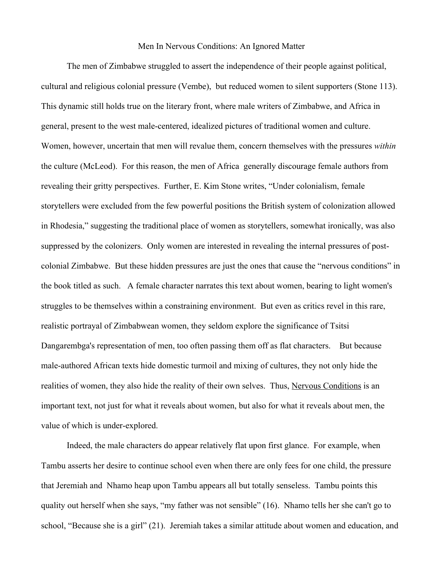#### Men In Nervous Conditions: An Ignored Matter

The men of Zimbabwe struggled to assert the independence of their people against political, cultural and religious colonial pressure (Vembe), but reduced women to silent supporters (Stone 113). This dynamic still holds true on the literary front, where male writers of Zimbabwe, and Africa in general, present to the west male-centered, idealized pictures of traditional women and culture. Women, however, uncertain that men will revalue them, concern themselves with the pressures *within* the culture (McLeod). For this reason, the men of Africa generally discourage female authors from revealing their gritty perspectives. Further, E. Kim Stone writes, "Under colonialism, female storytellers were excluded from the few powerful positions the British system of colonization allowed in Rhodesia," suggesting the traditional place of women as storytellers, somewhat ironically, was also suppressed by the colonizers. Only women are interested in revealing the internal pressures of postcolonial Zimbabwe. But these hidden pressures are just the ones that cause the "nervous conditions" in the book titled as such. A female character narrates this text about women, bearing to light women's struggles to be themselves within a constraining environment. But even as critics revel in this rare, realistic portrayal of Zimbabwean women, they seldom explore the significance of Tsitsi Dangarembga's representation of men, too often passing them off as flat characters. But because male-authored African texts hide domestic turmoil and mixing of cultures, they not only hide the realities of women, they also hide the reality of their own selves. Thus, Nervous Conditions is an important text, not just for what it reveals about women, but also for what it reveals about men, the value of which is under-explored.

Indeed, the male characters do appear relatively flat upon first glance. For example, when Tambu asserts her desire to continue school even when there are only fees for one child, the pressure that Jeremiah and Nhamo heap upon Tambu appears all but totally senseless. Tambu points this quality out herself when she says, "my father was not sensible" (16). Nhamo tells her she can't go to school, "Because she is a girl" (21). Jeremiah takes a similar attitude about women and education, and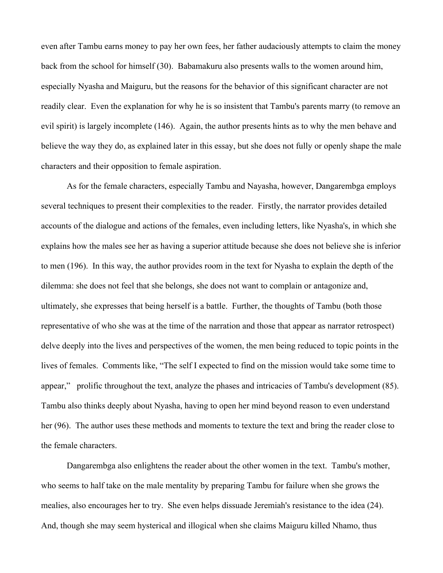even after Tambu earns money to pay her own fees, her father audaciously attempts to claim the money back from the school for himself (30). Babamakuru also presents walls to the women around him, especially Nyasha and Maiguru, but the reasons for the behavior of this significant character are not readily clear. Even the explanation for why he is so insistent that Tambu's parents marry (to remove an evil spirit) is largely incomplete (146). Again, the author presents hints as to why the men behave and believe the way they do, as explained later in this essay, but she does not fully or openly shape the male characters and their opposition to female aspiration.

As for the female characters, especially Tambu and Nayasha, however, Dangarembga employs several techniques to present their complexities to the reader. Firstly, the narrator provides detailed accounts of the dialogue and actions of the females, even including letters, like Nyasha's, in which she explains how the males see her as having a superior attitude because she does not believe she is inferior to men (196). In this way, the author provides room in the text for Nyasha to explain the depth of the dilemma: she does not feel that she belongs, she does not want to complain or antagonize and, ultimately, she expresses that being herself is a battle. Further, the thoughts of Tambu (both those representative of who she was at the time of the narration and those that appear as narrator retrospect) delve deeply into the lives and perspectives of the women, the men being reduced to topic points in the lives of females. Comments like, "The self I expected to find on the mission would take some time to appear," prolific throughout the text, analyze the phases and intricacies of Tambu's development (85). Tambu also thinks deeply about Nyasha, having to open her mind beyond reason to even understand her (96). The author uses these methods and moments to texture the text and bring the reader close to the female characters.

Dangarembga also enlightens the reader about the other women in the text. Tambu's mother, who seems to half take on the male mentality by preparing Tambu for failure when she grows the mealies, also encourages her to try. She even helps dissuade Jeremiah's resistance to the idea (24). And, though she may seem hysterical and illogical when she claims Maiguru killed Nhamo, thus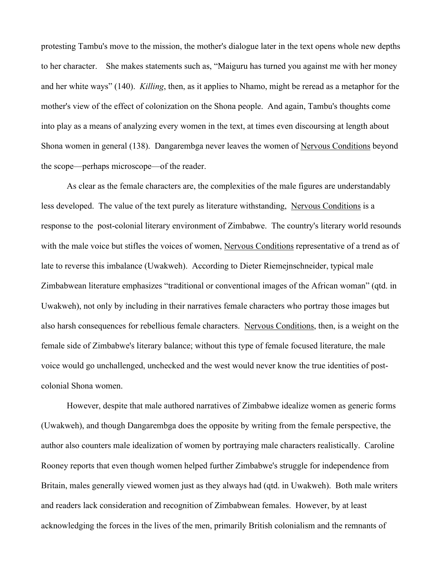protesting Tambu's move to the mission, the mother's dialogue later in the text opens whole new depths to her character. She makes statements such as, "Maiguru has turned you against me with her money and her white ways" (140). *Killing*, then, as it applies to Nhamo, might be reread as a metaphor for the mother's view of the effect of colonization on the Shona people. And again, Tambu's thoughts come into play as a means of analyzing every women in the text, at times even discoursing at length about Shona women in general (138). Dangarembga never leaves the women of Nervous Conditions beyond the scope—perhaps microscope—of the reader.

As clear as the female characters are, the complexities of the male figures are understandably less developed. The value of the text purely as literature withstanding, Nervous Conditions is a response to the post-colonial literary environment of Zimbabwe. The country's literary world resounds with the male voice but stifles the voices of women, Nervous Conditions representative of a trend as of late to reverse this imbalance (Uwakweh). According to Dieter Riemejnschneider, typical male Zimbabwean literature emphasizes "traditional or conventional images of the African woman" (qtd. in Uwakweh), not only by including in their narratives female characters who portray those images but also harsh consequences for rebellious female characters. Nervous Conditions, then, is a weight on the female side of Zimbabwe's literary balance; without this type of female focused literature, the male voice would go unchallenged, unchecked and the west would never know the true identities of postcolonial Shona women.

However, despite that male authored narratives of Zimbabwe idealize women as generic forms (Uwakweh), and though Dangarembga does the opposite by writing from the female perspective, the author also counters male idealization of women by portraying male characters realistically. Caroline Rooney reports that even though women helped further Zimbabwe's struggle for independence from Britain, males generally viewed women just as they always had (qtd. in Uwakweh). Both male writers and readers lack consideration and recognition of Zimbabwean females. However, by at least acknowledging the forces in the lives of the men, primarily British colonialism and the remnants of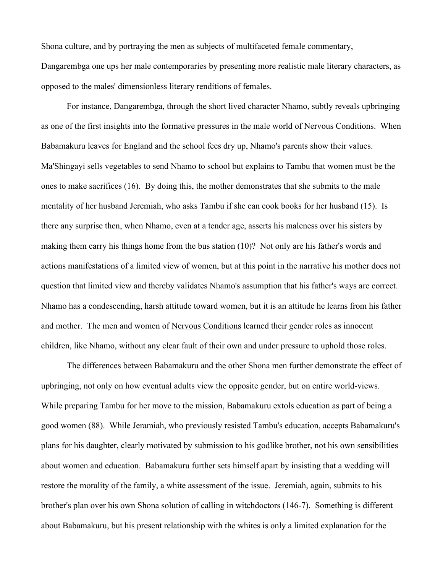Shona culture, and by portraying the men as subjects of multifaceted female commentary,

Dangarembga one ups her male contemporaries by presenting more realistic male literary characters, as opposed to the males' dimensionless literary renditions of females.

For instance, Dangarembga, through the short lived character Nhamo, subtly reveals upbringing as one of the first insights into the formative pressures in the male world of Nervous Conditions. When Babamakuru leaves for England and the school fees dry up, Nhamo's parents show their values. Ma'Shingayi sells vegetables to send Nhamo to school but explains to Tambu that women must be the ones to make sacrifices (16). By doing this, the mother demonstrates that she submits to the male mentality of her husband Jeremiah, who asks Tambu if she can cook books for her husband (15). Is there any surprise then, when Nhamo, even at a tender age, asserts his maleness over his sisters by making them carry his things home from the bus station (10)? Not only are his father's words and actions manifestations of a limited view of women, but at this point in the narrative his mother does not question that limited view and thereby validates Nhamo's assumption that his father's ways are correct. Nhamo has a condescending, harsh attitude toward women, but it is an attitude he learns from his father and mother. The men and women of Nervous Conditions learned their gender roles as innocent children, like Nhamo, without any clear fault of their own and under pressure to uphold those roles.

The differences between Babamakuru and the other Shona men further demonstrate the effect of upbringing, not only on how eventual adults view the opposite gender, but on entire world-views. While preparing Tambu for her move to the mission, Babamakuru extols education as part of being a good women (88). While Jeramiah, who previously resisted Tambu's education, accepts Babamakuru's plans for his daughter, clearly motivated by submission to his godlike brother, not his own sensibilities about women and education. Babamakuru further sets himself apart by insisting that a wedding will restore the morality of the family, a white assessment of the issue. Jeremiah, again, submits to his brother's plan over his own Shona solution of calling in witchdoctors (146-7). Something is different about Babamakuru, but his present relationship with the whites is only a limited explanation for the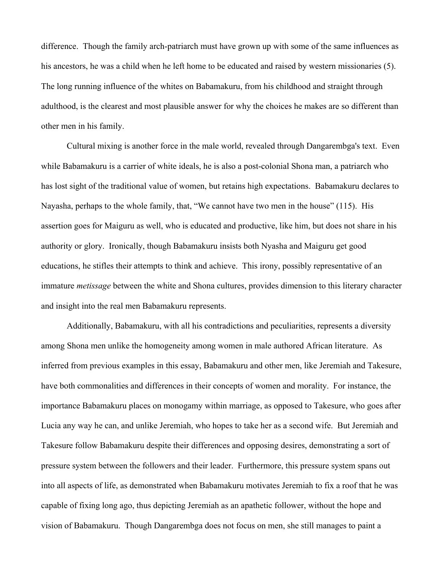difference. Though the family arch-patriarch must have grown up with some of the same influences as his ancestors, he was a child when he left home to be educated and raised by western missionaries (5). The long running influence of the whites on Babamakuru, from his childhood and straight through adulthood, is the clearest and most plausible answer for why the choices he makes are so different than other men in his family.

Cultural mixing is another force in the male world, revealed through Dangarembga's text. Even while Babamakuru is a carrier of white ideals, he is also a post-colonial Shona man, a patriarch who has lost sight of the traditional value of women, but retains high expectations. Babamakuru declares to Nayasha, perhaps to the whole family, that, "We cannot have two men in the house" (115). His assertion goes for Maiguru as well, who is educated and productive, like him, but does not share in his authority or glory. Ironically, though Babamakuru insists both Nyasha and Maiguru get good educations, he stifles their attempts to think and achieve. This irony, possibly representative of an immature *metissage* between the white and Shona cultures, provides dimension to this literary character and insight into the real men Babamakuru represents.

Additionally, Babamakuru, with all his contradictions and peculiarities, represents a diversity among Shona men unlike the homogeneity among women in male authored African literature. As inferred from previous examples in this essay, Babamakuru and other men, like Jeremiah and Takesure, have both commonalities and differences in their concepts of women and morality. For instance, the importance Babamakuru places on monogamy within marriage, as opposed to Takesure, who goes after Lucia any way he can, and unlike Jeremiah, who hopes to take her as a second wife. But Jeremiah and Takesure follow Babamakuru despite their differences and opposing desires, demonstrating a sort of pressure system between the followers and their leader. Furthermore, this pressure system spans out into all aspects of life, as demonstrated when Babamakuru motivates Jeremiah to fix a roof that he was capable of fixing long ago, thus depicting Jeremiah as an apathetic follower, without the hope and vision of Babamakuru. Though Dangarembga does not focus on men, she still manages to paint a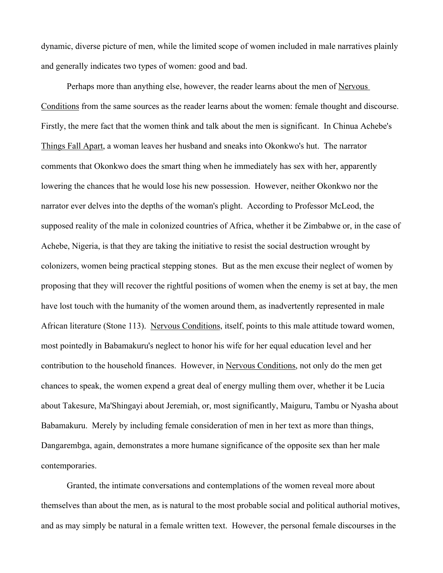dynamic, diverse picture of men, while the limited scope of women included in male narratives plainly and generally indicates two types of women: good and bad.

Perhaps more than anything else, however, the reader learns about the men of Nervous Conditions from the same sources as the reader learns about the women: female thought and discourse. Firstly, the mere fact that the women think and talk about the men is significant. In Chinua Achebe's Things Fall Apart, a woman leaves her husband and sneaks into Okonkwo's hut. The narrator comments that Okonkwo does the smart thing when he immediately has sex with her, apparently lowering the chances that he would lose his new possession. However, neither Okonkwo nor the narrator ever delves into the depths of the woman's plight. According to Professor McLeod, the supposed reality of the male in colonized countries of Africa, whether it be Zimbabwe or, in the case of Achebe, Nigeria, is that they are taking the initiative to resist the social destruction wrought by colonizers, women being practical stepping stones. But as the men excuse their neglect of women by proposing that they will recover the rightful positions of women when the enemy is set at bay, the men have lost touch with the humanity of the women around them, as inadvertently represented in male African literature (Stone 113). Nervous Conditions, itself, points to this male attitude toward women, most pointedly in Babamakuru's neglect to honor his wife for her equal education level and her contribution to the household finances. However, in Nervous Conditions, not only do the men get chances to speak, the women expend a great deal of energy mulling them over, whether it be Lucia about Takesure, Ma'Shingayi about Jeremiah, or, most significantly, Maiguru, Tambu or Nyasha about Babamakuru. Merely by including female consideration of men in her text as more than things, Dangarembga, again, demonstrates a more humane significance of the opposite sex than her male contemporaries.

Granted, the intimate conversations and contemplations of the women reveal more about themselves than about the men, as is natural to the most probable social and political authorial motives, and as may simply be natural in a female written text. However, the personal female discourses in the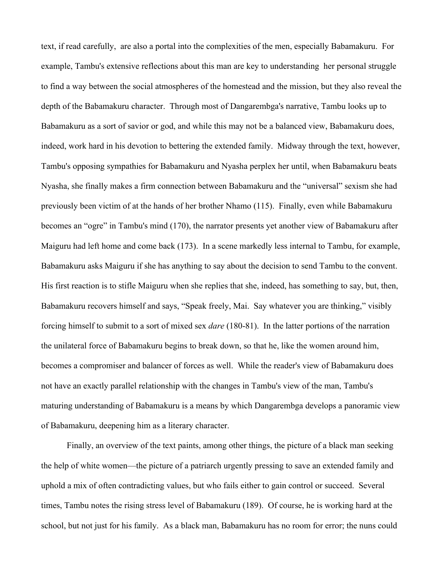text, if read carefully, are also a portal into the complexities of the men, especially Babamakuru. For example, Tambu's extensive reflections about this man are key to understanding her personal struggle to find a way between the social atmospheres of the homestead and the mission, but they also reveal the depth of the Babamakuru character. Through most of Dangarembga's narrative, Tambu looks up to Babamakuru as a sort of savior or god, and while this may not be a balanced view, Babamakuru does, indeed, work hard in his devotion to bettering the extended family. Midway through the text, however, Tambu's opposing sympathies for Babamakuru and Nyasha perplex her until, when Babamakuru beats Nyasha, she finally makes a firm connection between Babamakuru and the "universal" sexism she had previously been victim of at the hands of her brother Nhamo (115). Finally, even while Babamakuru becomes an "ogre" in Tambu's mind (170), the narrator presents yet another view of Babamakuru after Maiguru had left home and come back (173). In a scene markedly less internal to Tambu, for example, Babamakuru asks Maiguru if she has anything to say about the decision to send Tambu to the convent. His first reaction is to stifle Maiguru when she replies that she, indeed, has something to say, but, then, Babamakuru recovers himself and says, "Speak freely, Mai. Say whatever you are thinking," visibly forcing himself to submit to a sort of mixed sex *dare* (180-81). In the latter portions of the narration the unilateral force of Babamakuru begins to break down, so that he, like the women around him, becomes a compromiser and balancer of forces as well. While the reader's view of Babamakuru does not have an exactly parallel relationship with the changes in Tambu's view of the man, Tambu's maturing understanding of Babamakuru is a means by which Dangarembga develops a panoramic view of Babamakuru, deepening him as a literary character.

Finally, an overview of the text paints, among other things, the picture of a black man seeking the help of white women—the picture of a patriarch urgently pressing to save an extended family and uphold a mix of often contradicting values, but who fails either to gain control or succeed. Several times, Tambu notes the rising stress level of Babamakuru (189). Of course, he is working hard at the school, but not just for his family. As a black man, Babamakuru has no room for error; the nuns could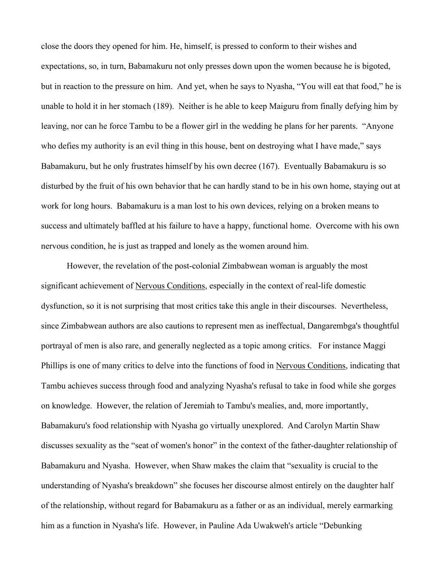close the doors they opened for him. He, himself, is pressed to conform to their wishes and expectations, so, in turn, Babamakuru not only presses down upon the women because he is bigoted, but in reaction to the pressure on him. And yet, when he says to Nyasha, "You will eat that food," he is unable to hold it in her stomach (189). Neither is he able to keep Maiguru from finally defying him by leaving, nor can he force Tambu to be a flower girl in the wedding he plans for her parents. "Anyone who defies my authority is an evil thing in this house, bent on destroying what I have made," says Babamakuru, but he only frustrates himself by his own decree (167). Eventually Babamakuru is so disturbed by the fruit of his own behavior that he can hardly stand to be in his own home, staying out at work for long hours. Babamakuru is a man lost to his own devices, relying on a broken means to success and ultimately baffled at his failure to have a happy, functional home. Overcome with his own nervous condition, he is just as trapped and lonely as the women around him.

However, the revelation of the post-colonial Zimbabwean woman is arguably the most significant achievement of Nervous Conditions, especially in the context of real-life domestic dysfunction, so it is not surprising that most critics take this angle in their discourses. Nevertheless, since Zimbabwean authors are also cautions to represent men as ineffectual, Dangarembga's thoughtful portrayal of men is also rare, and generally neglected as a topic among critics. For instance Maggi Phillips is one of many critics to delve into the functions of food in Nervous Conditions, indicating that Tambu achieves success through food and analyzing Nyasha's refusal to take in food while she gorges on knowledge. However, the relation of Jeremiah to Tambu's mealies, and, more importantly, Babamakuru's food relationship with Nyasha go virtually unexplored. And Carolyn Martin Shaw discusses sexuality as the "seat of women's honor" in the context of the father-daughter relationship of Babamakuru and Nyasha. However, when Shaw makes the claim that "sexuality is crucial to the understanding of Nyasha's breakdown" she focuses her discourse almost entirely on the daughter half of the relationship, without regard for Babamakuru as a father or as an individual, merely earmarking him as a function in Nyasha's life. However, in Pauline Ada Uwakweh's article "Debunking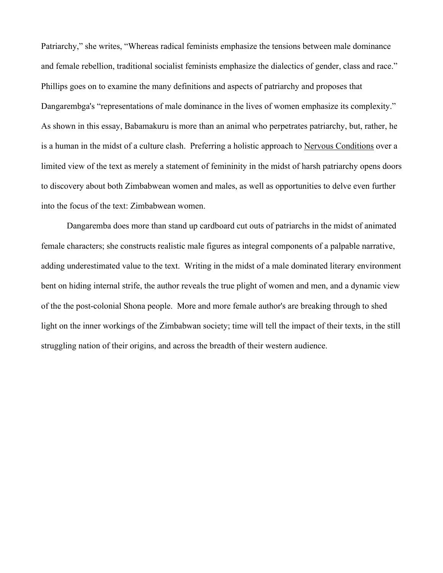Patriarchy," she writes, "Whereas radical feminists emphasize the tensions between male dominance and female rebellion, traditional socialist feminists emphasize the dialectics of gender, class and race." Phillips goes on to examine the many definitions and aspects of patriarchy and proposes that Dangarembga's "representations of male dominance in the lives of women emphasize its complexity." As shown in this essay, Babamakuru is more than an animal who perpetrates patriarchy, but, rather, he is a human in the midst of a culture clash. Preferring a holistic approach to Nervous Conditions over a limited view of the text as merely a statement of femininity in the midst of harsh patriarchy opens doors to discovery about both Zimbabwean women and males, as well as opportunities to delve even further into the focus of the text: Zimbabwean women.

Dangaremba does more than stand up cardboard cut outs of patriarchs in the midst of animated female characters; she constructs realistic male figures as integral components of a palpable narrative, adding underestimated value to the text. Writing in the midst of a male dominated literary environment bent on hiding internal strife, the author reveals the true plight of women and men, and a dynamic view of the the post-colonial Shona people. More and more female author's are breaking through to shed light on the inner workings of the Zimbabwan society; time will tell the impact of their texts, in the still struggling nation of their origins, and across the breadth of their western audience.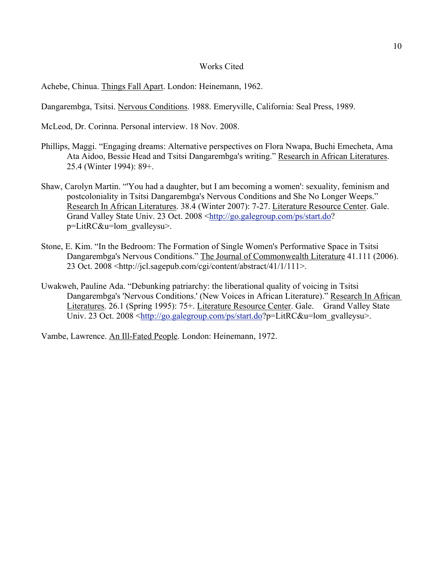## Works Cited

Achebe, Chinua. Things Fall Apart. London: Heinemann, 1962.

Dangarembga, Tsitsi. Nervous Conditions. 1988. Emeryville, California: Seal Press, 1989.

McLeod, Dr. Corinna. Personal interview. 18 Nov. 2008.

- Phillips, Maggi. "Engaging dreams: Alternative perspectives on Flora Nwapa, Buchi Emecheta, Ama Ata Aidoo, Bessie Head and Tsitsi Dangarembga's writing." Research in African Literatures. 25.4 (Winter 1994): 89+.
- Shaw, Carolyn Martin. "'You had a daughter, but I am becoming a women': sexuality, feminism and postcoloniality in Tsitsi Dangarembga's Nervous Conditions and She No Longer Weeps." Research In African Literatures. 38.4 (Winter 2007): 7-27. Literature Resource Center. Gale. Grand Valley State Univ. 23 Oct. 2008 <http://go.galegroup.com/ps/start.do? p=LitRC&u=lom\_gvalleysu>.
- Stone, E. Kim. "In the Bedroom: The Formation of Single Women's Performative Space in Tsitsi Dangarembga's Nervous Conditions." The Journal of Commonwealth Literature 41.111 (2006). 23 Oct. 2008 <http://jcl.sagepub.com/cgi/content/abstract/41/1/111>.
- Uwakweh, Pauline Ada. "Debunking patriarchy: the liberational quality of voicing in Tsitsi Dangarembga's 'Nervous Conditions.' (New Voices in African Literature)." Research In African Literatures. 26.1 (Spring 1995): 75+. Literature Resource Center. Gale. Grand Valley State Univ. 23 Oct. 2008 <http://go.galegroup.com/ps/start.do?p=LitRC&u=lom\_gvalleysu>.

Vambe, Lawrence. An Ill-Fated People. London: Heinemann, 1972.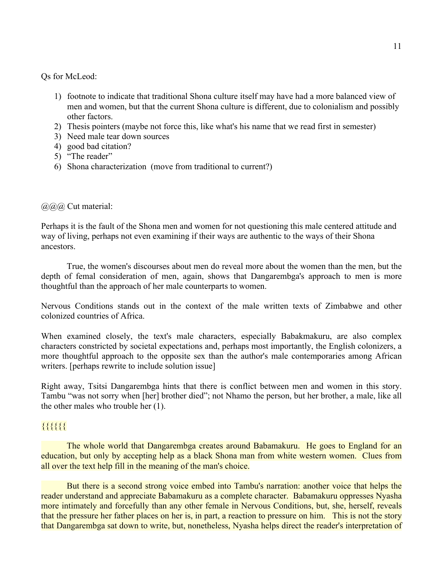Qs for McLeod:

- 1) footnote to indicate that traditional Shona culture itself may have had a more balanced view of men and women, but that the current Shona culture is different, due to colonialism and possibly other factors.
- 2) Thesis pointers (maybe not force this, like what's his name that we read first in semester)
- 3) Need male tear down sources
- 4) good bad citation?
- 5) "The reader"
- 6) Shona characterization (move from traditional to current?)

## @@@ Cut material:

Perhaps it is the fault of the Shona men and women for not questioning this male centered attitude and way of living, perhaps not even examining if their ways are authentic to the ways of their Shona ancestors.

True, the women's discourses about men do reveal more about the women than the men, but the depth of femal consideration of men, again, shows that Dangarembga's approach to men is more thoughtful than the approach of her male counterparts to women.

Nervous Conditions stands out in the context of the male written texts of Zimbabwe and other colonized countries of Africa.

When examined closely, the text's male characters, especially Babakmakuru, are also complex characters constricted by societal expectations and, perhaps most importantly, the English colonizers, a more thoughtful approach to the opposite sex than the author's male contemporaries among African writers. [perhaps rewrite to include solution issue]

Right away, Tsitsi Dangarembga hints that there is conflict between men and women in this story. Tambu "was not sorry when [her] brother died"; not Nhamo the person, but her brother, a male, like all the other males who trouble her (1).

# {{{{{{

The whole world that Dangarembga creates around Babamakuru. He goes to England for an education, but only by accepting help as a black Shona man from white western women. Clues from all over the text help fill in the meaning of the man's choice.

But there is a second strong voice embed into Tambu's narration: another voice that helps the reader understand and appreciate Babamakuru as a complete character. Babamakuru oppresses Nyasha more intimately and forcefully than any other female in Nervous Conditions, but, she, herself, reveals that the pressure her father places on her is, in part, a reaction to pressure on him. This is not the story that Dangarembga sat down to write, but, nonetheless, Nyasha helps direct the reader's interpretation of